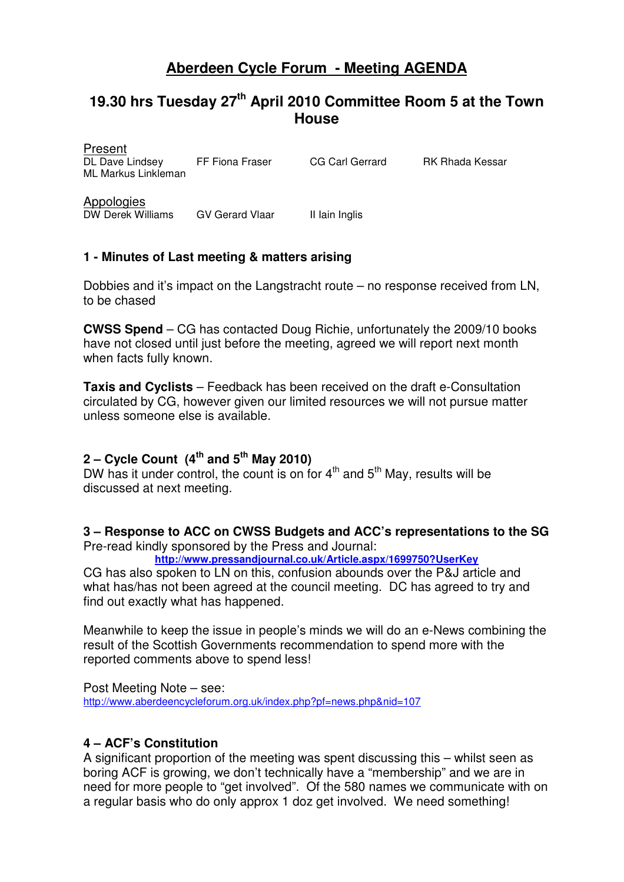# **Aberdeen Cycle Forum - Meeting AGENDA**

# **19.30 hrs Tuesday 27th April 2010 Committee Room 5 at the Town House**

| <b>Present</b><br>DL Dave Lindsey<br>ML Markus Linkleman | FF Fiona Fraser        | CG Carl Gerrard | RK Rhada Kessar |
|----------------------------------------------------------|------------------------|-----------------|-----------------|
| Appologies<br>DW Derek Williams                          | <b>GV Gerard Vlaar</b> | Il lain Inglis  |                 |

## **1 - Minutes of Last meeting & matters arising**

Present

Dobbies and it's impact on the Langstracht route – no response received from LN, to be chased

**CWSS Spend** – CG has contacted Doug Richie, unfortunately the 2009/10 books have not closed until just before the meeting, agreed we will report next month when facts fully known.

**Taxis and Cyclists** – Feedback has been received on the draft e-Consultation circulated by CG, however given our limited resources we will not pursue matter unless someone else is available.

# **2 – Cycle Count (4th and 5th May 2010)**

DW has it under control, the count is on for  $4<sup>th</sup>$  and  $5<sup>th</sup>$  May, results will be discussed at next meeting.

#### **3 – Response to ACC on CWSS Budgets and ACC's representations to the SG**  Pre-read kindly sponsored by the Press and Journal:

**http://www.pressandjournal.co.uk/Article.aspx/1699750?UserKey**

CG has also spoken to LN on this, confusion abounds over the P&J article and what has/has not been agreed at the council meeting. DC has agreed to try and find out exactly what has happened.

Meanwhile to keep the issue in people's minds we will do an e-News combining the result of the Scottish Governments recommendation to spend more with the reported comments above to spend less!

Post Meeting Note – see:

http://www.aberdeencycleforum.org.uk/index.php?pf=news.php&nid=107

## **4 – ACF's Constitution**

A significant proportion of the meeting was spent discussing this – whilst seen as boring ACF is growing, we don't technically have a "membership" and we are in need for more people to "get involved". Of the 580 names we communicate with on a regular basis who do only approx 1 doz get involved. We need something!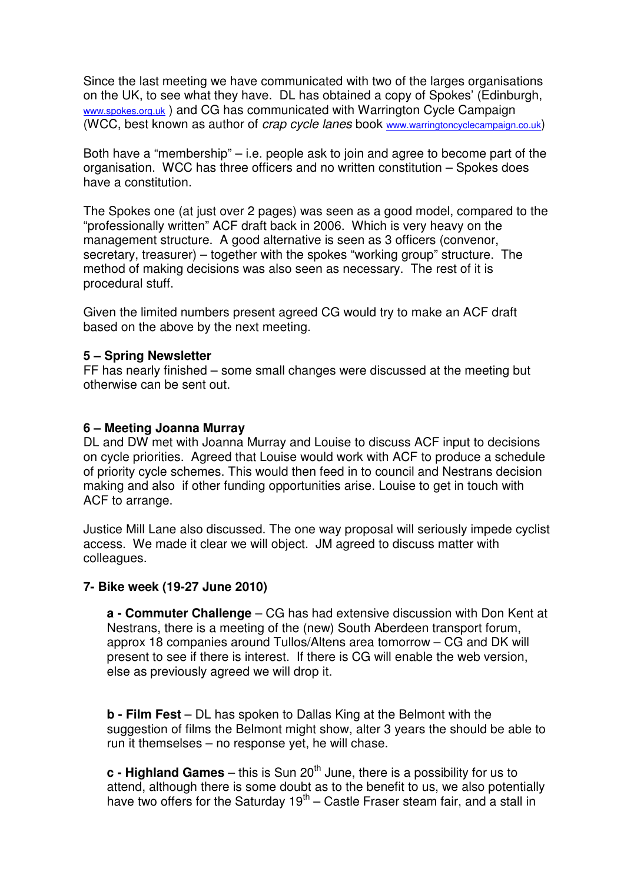Since the last meeting we have communicated with two of the larges organisations on the UK, to see what they have. DL has obtained a copy of Spokes' (Edinburgh, www.spokes.org.uk) and CG has communicated with Warrington Cycle Campaign (WCC, best known as author of *crap cycle lanes* book www.warringtoncyclecampaign.co.uk)

Both have a "membership" – i.e. people ask to join and agree to become part of the organisation. WCC has three officers and no written constitution – Spokes does have a constitution.

The Spokes one (at just over 2 pages) was seen as a good model, compared to the "professionally written" ACF draft back in 2006. Which is very heavy on the management structure. A good alternative is seen as 3 officers (convenor, secretary, treasurer) – together with the spokes "working group" structure. The method of making decisions was also seen as necessary. The rest of it is procedural stuff.

Given the limited numbers present agreed CG would try to make an ACF draft based on the above by the next meeting.

#### **5 – Spring Newsletter**

FF has nearly finished – some small changes were discussed at the meeting but otherwise can be sent out.

#### **6 – Meeting Joanna Murray**

DL and DW met with Joanna Murray and Louise to discuss ACF input to decisions on cycle priorities. Agreed that Louise would work with ACF to produce a schedule of priority cycle schemes. This would then feed in to council and Nestrans decision making and also if other funding opportunities arise. Louise to get in touch with ACF to arrange.

Justice Mill Lane also discussed. The one way proposal will seriously impede cyclist access. We made it clear we will object. JM agreed to discuss matter with colleagues.

#### **7- Bike week (19-27 June 2010)**

**a - Commuter Challenge** – CG has had extensive discussion with Don Kent at Nestrans, there is a meeting of the (new) South Aberdeen transport forum, approx 18 companies around Tullos/Altens area tomorrow – CG and DK will present to see if there is interest. If there is CG will enable the web version, else as previously agreed we will drop it.

**b - Film Fest** – DL has spoken to Dallas King at the Belmont with the suggestion of films the Belmont might show, alter 3 years the should be able to run it themselses – no response yet, he will chase.

 $c$  **- Highland Games** – this is Sun 20<sup>th</sup> June, there is a possibility for us to attend, although there is some doubt as to the benefit to us, we also potentially have two offers for the Saturday  $19<sup>th</sup>$  – Castle Fraser steam fair, and a stall in